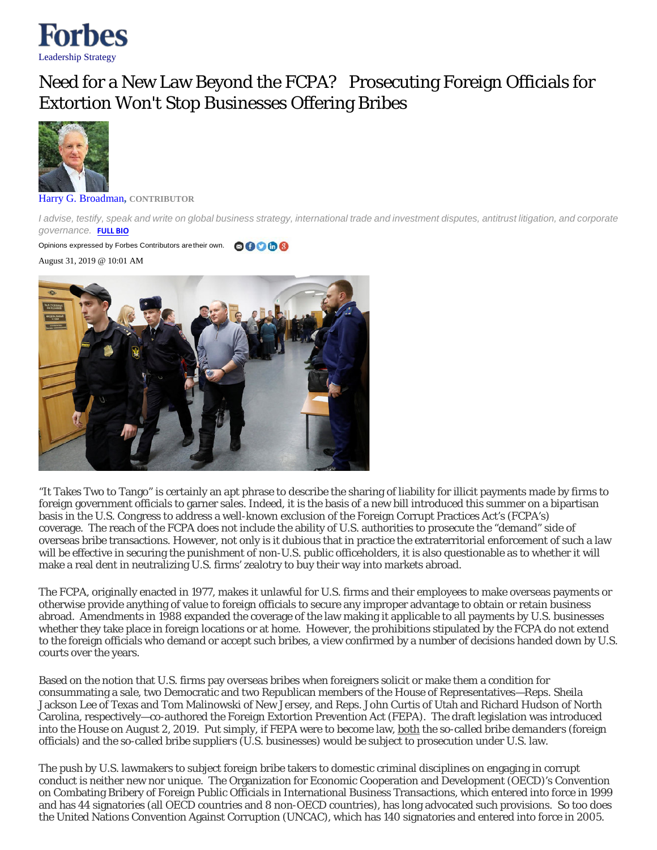

## Need for a New Law Beyond the FCPA? Prosecuting Foreign Officials for Extortion Won't Stop Businesses Offering Bribes



[Harry G. Broadman](http://www.harrygbroadman.com/)**, CONTRIBUTOR**

*I advise, testify, speak and write on global business strategy, international trade and investment disputes, antitrust litigation, and corporate governance.* **[FULL BIO](http://www.harrygbroadman.com/)**

Opinions expressed by Forbes Contributors aretheir own. <br> **O C C C** 

August 31, 2019 @ 10:01 AM



"It Takes Two to Tango" is certainly an apt phrase to describe the sharing of liability for illicit payments made by firms to foreign government officials to garner sales. Indeed, it is the basis of a new bill introduced this summer on a bipartisan basis in the U.S. Congress to address a well-known exclusion of the Foreign Corrupt Practices Act's (FCPA's) coverage. The reach of the FCPA does not include the ability of U.S. authorities to prosecute the "demand" side of overseas bribe transactions. However, not only is it dubious that in practice the extraterritorial enforcement of such a law will be effective in securing the punishment of non-U.S. public officeholders, it is also questionable as to whether it will make a real dent in neutralizing U.S. firms' zealotry to buy their way into markets abroad.

The FCPA, originally enacted in 1977, makes it unlawful for U.S. firms and their employees to make overseas payments or otherwise provide anything of value to foreign officials to secure any improper advantage to obtain or retain business abroad. Amendments in 1988 expanded the coverage of the law making it applicable to all payments by U.S. businesses whether they take place in foreign locations or at home. However, the prohibitions stipulated by the FCPA do not extend to the foreign officials who demand or accept such bribes, a view confirmed by a number of decisions handed down by U.S. courts over the years.

Based on the notion that U.S. firms pay overseas bribes when foreigners solicit or make them a condition for consummating a sale, two Democratic and two Republican members of the House of Representatives—Reps. Sheila Jackson Lee of Texas and Tom Malinowski of New Jersey, and Reps. John Curtis of Utah and Richard Hudson of North Carolina, respectively—co-authored the Foreign Extortion Prevention Act (FEPA). The draft legislation was introduced into the House on August 2, 2019. Put simply, if FEPA were to become law, both the so-called bribe *demanders* (foreign officials) and the so-called bribe *suppliers* (U.S. businesses) would be subject to prosecution under U.S. law.

The push by U.S. lawmakers to subject foreign bribe takers to domestic criminal disciplines on engaging in corrupt conduct is neither new nor unique. The Organization for Economic Cooperation and Development (OECD)'s Convention on Combating Bribery of Foreign Public Officials in International Business Transactions, which entered into force in 1999 and has 44 signatories (all OECD countries and 8 non-OECD countries), has long advocated such provisions. So too does the United Nations Convention Against Corruption (UNCAC), which has 140 signatories and entered into force in 2005.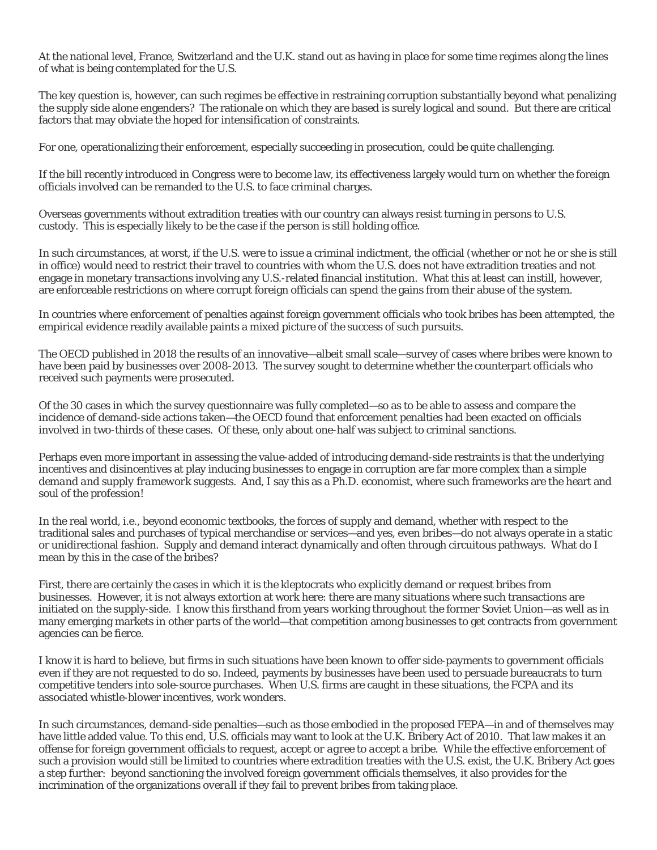At the national level, France, Switzerland and the U.K. stand out as having in place for some time regimes along the lines of what is being contemplated for the U.S.

The key question is, however, can such regimes be effective in restraining corruption substantially beyond what penalizing the supply side alone engenders? The rationale on which they are based is surely logical and sound. But there are critical factors that may obviate the hoped for intensification of constraints.

For one, operationalizing their enforcement, especially succeeding in prosecution, could be quite challenging.

If the bill recently introduced in Congress were to become law, its effectiveness largely would turn on whether the foreign officials involved can be remanded to the U.S. to face criminal charges.

Overseas governments without extradition treaties with our country can always resist turning in persons to U.S. custody. This is especially likely to be the case if the person is still holding office.

In such circumstances, at worst, if the U.S. were to issue a criminal indictment, the official (whether or not he or she is still in office) would need to restrict their travel to countries with whom the U.S. does not have extradition treaties and not engage in monetary transactions involving any U.S.-related financial institution. What this at least can instill, however, are enforceable restrictions on where corrupt foreign officials can spend the gains from their abuse of the system.

In countries where enforcement of penalties against foreign government officials who took bribes has been attempted, the empirical evidence readily available paints a mixed picture of the success of such pursuits.

The OECD published in 2018 the results of an innovative—albeit small scale—survey of cases where bribes were known to have been paid by businesses over 2008-2013. The survey sought to determine whether the counterpart officials who received such payments were prosecuted.

Of the 30 cases in which the survey questionnaire was fully completed—so as to be able to assess and compare the incidence of demand-side actions taken—the OECD found that enforcement penalties had been exacted on officials involved in two-thirds of these cases. Of these, only about one-half was subject to criminal sanctions.

Perhaps even more important in assessing the value-added of introducing demand-side restraints is that the underlying incentives and disincentives at play inducing businesses to engage in corruption are far more complex than a *simple demand and supply framework* suggests. And, I say this as a Ph.D. economist, where such frameworks are the heart and soul of the profession!

In the real world, i.e., beyond economic textbooks, the forces of supply and demand, whether with respect to the traditional sales and purchases of typical merchandise or services—and yes, even bribes—do not always operate in a static or unidirectional fashion. Supply and demand interact dynamically and often through circuitous pathways. What do I mean by this in the case of the bribes?

First, there are certainly the cases in which it is the kleptocrats who explicitly demand or request bribes from businesses. However, it is not always extortion at work here: there are many situations where such transactions are initiated on the supply-side. I know this firsthand from years working throughout the former Soviet Union—as well as in many emerging markets in other parts of the world—that competition among businesses to get contracts from government agencies can be fierce.

I know it is hard to believe, but firms in such situations have been known to offer side-payments to government officials even if they are *not* requested to do so. Indeed, payments by businesses have been used to persuade bureaucrats to turn competitive tenders into sole-source purchases. When U.S. firms are caught in these situations, the FCPA and its associated whistle-blower incentives, work wonders.

In such circumstances, demand-side penalties—such as those embodied in the proposed FEPA—in and of themselves may have little added value. To this end, U.S. officials may want to look at the U.K. Bribery Act of 2010. That law makes it an offense for foreign government officials to request, *accept or agree to accept* a bribe. While the effective enforcement of such a provision would still be limited to countries where extradition treaties with the U.S. exist, the U.K. Bribery Act goes a step further: beyond sanctioning the involved foreign government officials themselves, it also provides for the incrimination of the organizations *overall* if they fail to prevent bribes from taking place.